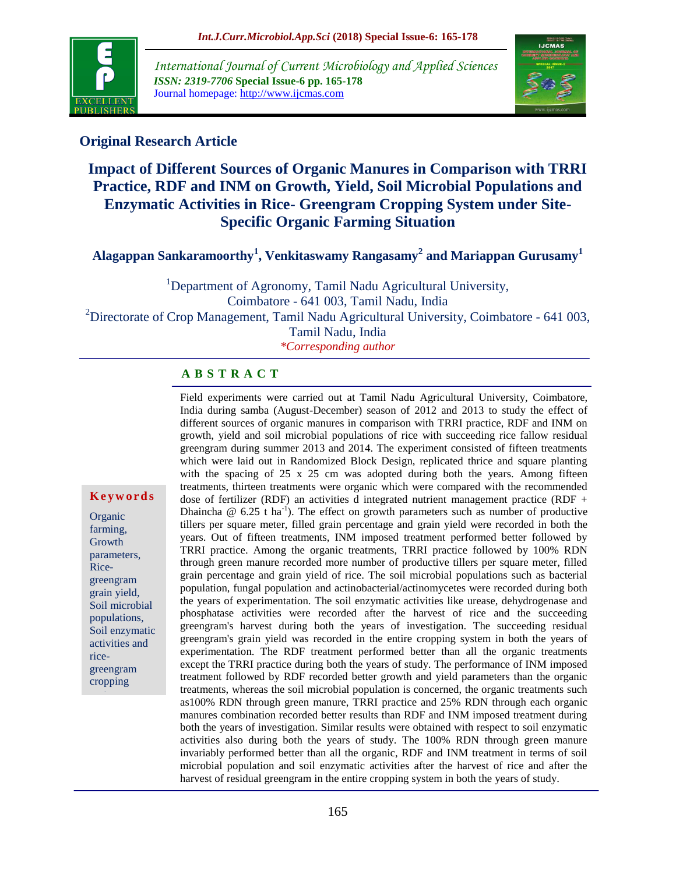

*International Journal of Current Microbiology and Applied Sciences ISSN: 2319-7706* **Special Issue-6 pp. 165-178** Journal homepage: http://www.ijcmas.com



## **Original Research Article**

# **Impact of Different Sources of Organic Manures in Comparison with TRRI Practice, RDF and INM on Growth, Yield, Soil Microbial Populations and Enzymatic Activities in Rice- Greengram Cropping System under Site-Specific Organic Farming Situation**

**Alagappan Sankaramoorthy<sup>1</sup> , Venkitaswamy Rangasamy<sup>2</sup> and Mariappan Gurusamy<sup>1</sup>**

<sup>1</sup>Department of Agronomy, Tamil Nadu Agricultural University, Coimbatore - 641 003, Tamil Nadu, India <sup>2</sup>Directorate of Crop Management, Tamil Nadu Agricultural University, Coimbatore - 641 003, Tamil Nadu, India

*\*Corresponding author*

#### **A B S T R A C T**

Field experiments were carried out at Tamil Nadu Agricultural University, Coimbatore, India during samba (August-December) season of 2012 and 2013 to study the effect of different sources of organic manures in comparison with TRRI practice, RDF and INM on growth, yield and soil microbial populations of rice with succeeding rice fallow residual greengram during summer 2013 and 2014. The experiment consisted of fifteen treatments which were laid out in Randomized Block Design, replicated thrice and square planting with the spacing of 25 x 25 cm was adopted during both the years. Among fifteen treatments, thirteen treatments were organic which were compared with the recommended dose of fertilizer (RDF) an activities d integrated nutrient management practice (RDF + Dhaincha  $\omega$  6.25 t ha<sup>-1</sup>). The effect on growth parameters such as number of productive tillers per square meter, filled grain percentage and grain yield were recorded in both the years. Out of fifteen treatments, INM imposed treatment performed better followed by TRRI practice. Among the organic treatments, TRRI practice followed by 100% RDN through green manure recorded more number of productive tillers per square meter, filled grain percentage and grain yield of rice. The soil microbial populations such as bacterial population, fungal population and actinobacterial/actinomycetes were recorded during both the years of experimentation. The soil enzymatic activities like urease, dehydrogenase and phosphatase activities were recorded after the harvest of rice and the succeeding greengram's harvest during both the years of investigation. The succeeding residual greengram's grain yield was recorded in the entire cropping system in both the years of experimentation. The RDF treatment performed better than all the organic treatments except the TRRI practice during both the years of study. The performance of INM imposed treatment followed by RDF recorded better growth and yield parameters than the organic treatments, whereas the soil microbial population is concerned, the organic treatments such as100% RDN through green manure, TRRI practice and 25% RDN through each organic manures combination recorded better results than RDF and INM imposed treatment during both the years of investigation. Similar results were obtained with respect to soil enzymatic activities also during both the years of study. The 100% RDN through green manure invariably performed better than all the organic, RDF and INM treatment in terms of soil microbial population and soil enzymatic activities after the harvest of rice and after the harvest of residual greengram in the entire cropping system in both the years of study.

#### **K e y w o r d s**

**Organic** farming, Growth parameters, Ricegreengram grain yield, Soil microbial populations, Soil enzymatic activities and ricegreengram cropping system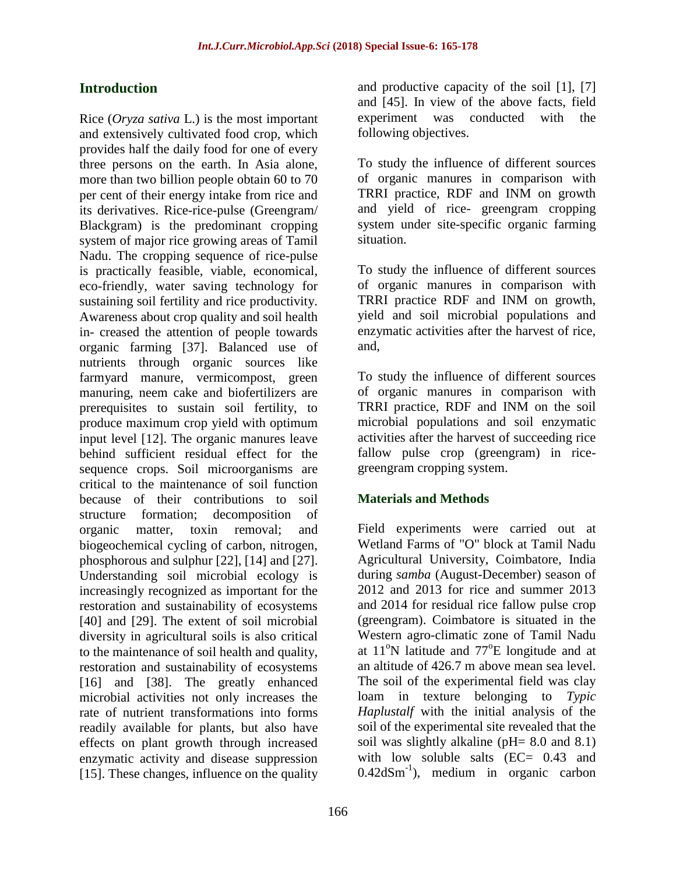## **Introduction**

Rice (*Oryza sativa* L.) is the most important and extensively cultivated food crop, which provides half the daily food for one of every three persons on the earth. In Asia alone, more than two billion people obtain 60 to 70 per cent of their energy intake from rice and its derivatives. Rice-rice-pulse (Greengram/ Blackgram) is the predominant cropping system of major rice growing areas of Tamil Nadu. The cropping sequence of rice-pulse is practically feasible, viable, economical, eco-friendly, water saving technology for sustaining soil fertility and rice productivity. Awareness about crop quality and soil health in- creased the attention of people towards organic farming [37]. Balanced use of nutrients through organic sources like farmyard manure, vermicompost, green manuring, neem cake and biofertilizers are prerequisites to sustain soil fertility, to produce maximum crop yield with optimum input level [12]. The organic manures leave behind sufficient residual effect for the sequence crops. Soil microorganisms are critical to the maintenance of soil function because of their contributions to soil structure formation; decomposition of organic matter, toxin removal; and biogeochemical cycling of carbon, nitrogen, phosphorous and sulphur [22], [14] and [27]. Understanding soil microbial ecology is increasingly recognized as important for the restoration and sustainability of ecosystems [40] and [29]. The extent of soil microbial diversity in agricultural soils is also critical to the maintenance of soil health and quality, restoration and sustainability of ecosystems [16] and [38]. The greatly enhanced microbial activities not only increases the rate of nutrient transformations into forms readily available for plants, but also have effects on plant growth through increased enzymatic activity and disease suppression [15]. These changes, influence on the quality

and productive capacity of the soil [1], [7] and [45]. In view of the above facts, field experiment was conducted with the following objectives.

To study the influence of different sources of organic manures in comparison with TRRI practice, RDF and INM on growth and yield of rice- greengram cropping system under site-specific organic farming situation.

To study the influence of different sources of organic manures in comparison with TRRI practice RDF and INM on growth, yield and soil microbial populations and enzymatic activities after the harvest of rice, and,

To study the influence of different sources of organic manures in comparison with TRRI practice, RDF and INM on the soil microbial populations and soil enzymatic activities after the harvest of succeeding rice fallow pulse crop (greengram) in ricegreengram cropping system.

#### **Materials and Methods**

Field experiments were carried out at Wetland Farms of "O" block at Tamil Nadu Agricultural University, Coimbatore, India during *samba* (August-December) season of 2012 and 2013 for rice and summer 2013 and 2014 for residual rice fallow pulse crop (greengram). Coimbatore is situated in the Western agro-climatic zone of Tamil Nadu at  $11^{\circ}$ N latitude and  $77^{\circ}$ E longitude and at an altitude of 426.7 m above mean sea level. The soil of the experimental field was clay loam in texture belonging to *Typic Haplustalf* with the initial analysis of the soil of the experimental site revealed that the soil was slightly alkaline (pH= 8.0 and 8.1) with low soluble salts (EC= 0.43 and  $0.42$ dSm<sup>-1</sup>), medium in organic carbon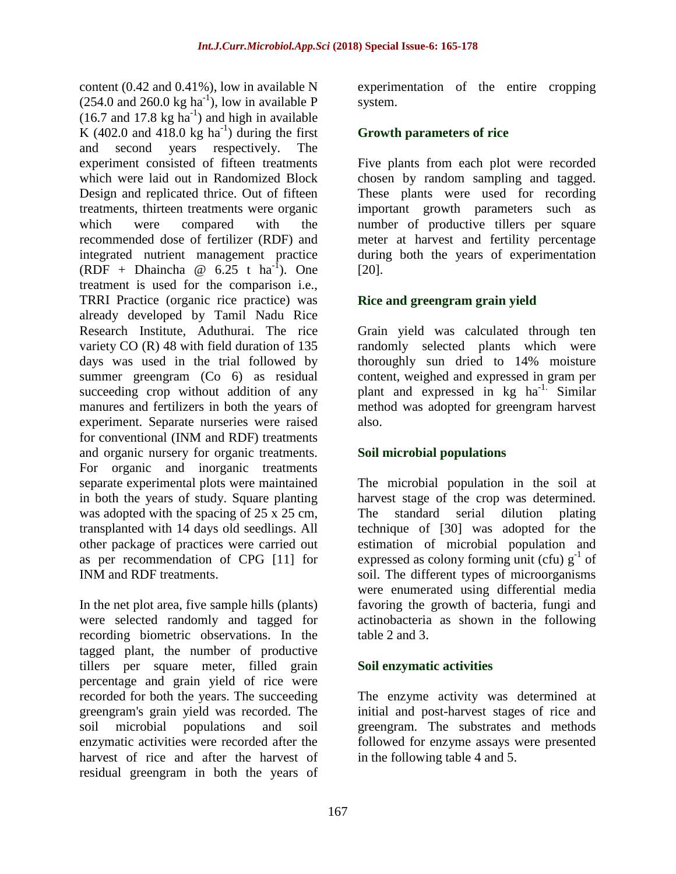content (0.42 and 0.41%), low in available N  $(254.0 \text{ and } 260.0 \text{ kg ha}^{-1})$ , low in available P  $(16.7 \text{ and } 17.8 \text{ kg ha}^{-1})$  and high in available K (402.0 and 418.0 kg ha<sup>-1</sup>) during the first and second years respectively. The experiment consisted of fifteen treatments which were laid out in Randomized Block Design and replicated thrice. Out of fifteen treatments, thirteen treatments were organic which were compared with the recommended dose of fertilizer (RDF) and integrated nutrient management practice (RDF + Dhaincha  $\omega$  6.25 t ha<sup>-1</sup>). One treatment is used for the comparison i.e., TRRI Practice (organic rice practice) was already developed by Tamil Nadu Rice Research Institute, Aduthurai. The rice variety CO (R) 48 with field duration of 135 days was used in the trial followed by summer greengram (Co 6) as residual succeeding crop without addition of any manures and fertilizers in both the years of experiment. Separate nurseries were raised for conventional (INM and RDF) treatments and organic nursery for organic treatments. For organic and inorganic treatments separate experimental plots were maintained in both the years of study. Square planting was adopted with the spacing of 25 x 25 cm, transplanted with 14 days old seedlings. All other package of practices were carried out as per recommendation of CPG [11] for INM and RDF treatments.

In the net plot area, five sample hills (plants) were selected randomly and tagged for recording biometric observations. In the tagged plant, the number of productive tillers per square meter, filled grain percentage and grain yield of rice were recorded for both the years. The succeeding greengram's grain yield was recorded. The soil microbial populations and soil enzymatic activities were recorded after the harvest of rice and after the harvest of residual greengram in both the years of

experimentation of the entire cropping system.

#### **Growth parameters of rice**

Five plants from each plot were recorded chosen by random sampling and tagged. These plants were used for recording important growth parameters such as number of productive tillers per square meter at harvest and fertility percentage during both the years of experimentation [20].

## **Rice and greengram grain yield**

Grain yield was calculated through ten randomly selected plants which were thoroughly sun dried to 14% moisture content, weighed and expressed in gram per plant and expressed in kg ha<sup>-1.</sup> Similar method was adopted for greengram harvest also.

## **Soil microbial populations**

The microbial population in the soil at harvest stage of the crop was determined. The standard serial dilution plating technique of [30] was adopted for the estimation of microbial population and expressed as colony forming unit (cfu)  $g^{-1}$  of soil. The different types of microorganisms were enumerated using differential media favoring the growth of bacteria, fungi and actinobacteria as shown in the following table 2 and 3.

#### **Soil enzymatic activities**

The enzyme activity was determined at initial and post-harvest stages of rice and greengram. The substrates and methods followed for enzyme assays were presented in the following table 4 and 5.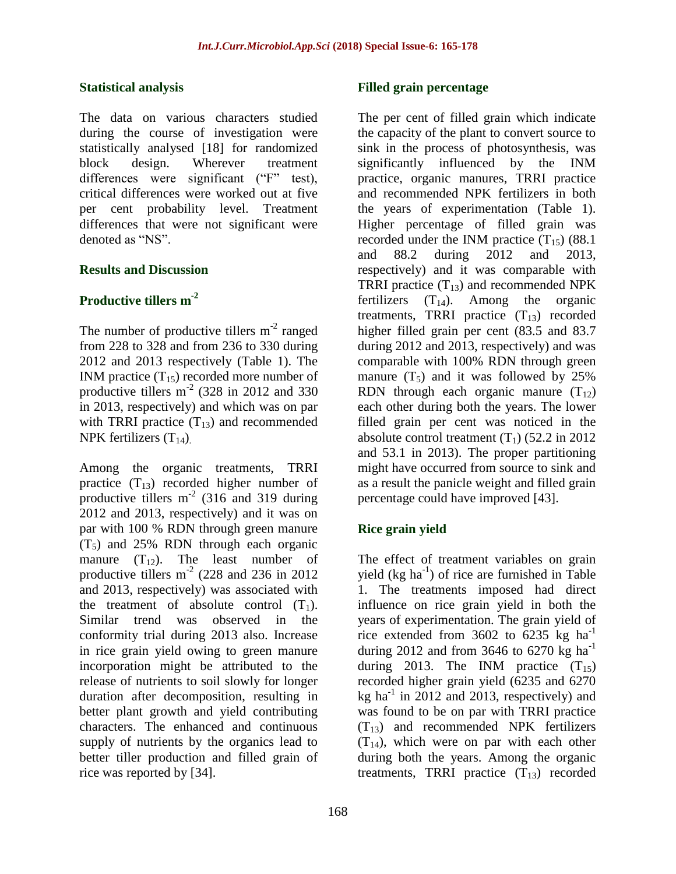#### **Statistical analysis**

The data on various characters studied during the course of investigation were statistically analysed [18] for randomized block design. Wherever treatment differences were significant ("F" test), critical differences were worked out at five per cent probability level. Treatment differences that were not significant were denoted as "NS".

## **Results and Discussion**

## **Productive tillers m-2**

The number of productive tillers  $m^{-2}$  ranged from 228 to 328 and from 236 to 330 during 2012 and 2013 respectively (Table 1). The INM practice  $(T_{15})$  recorded more number of productive tillers  $m<sup>2</sup>$  (328 in 2012 and 330 in 2013, respectively) and which was on par with TRRI practice  $(T_{13})$  and recommended NPK fertilizers  $(T_{14})$ .

Among the organic treatments, TRRI practice  $(T_{13})$  recorded higher number of productive tillers  $m<sup>-2</sup>$  (316 and 319 during 2012 and 2013, respectively) and it was on par with 100 % RDN through green manure  $(T<sub>5</sub>)$  and 25% RDN through each organic manure  $(T_{12})$ . The least number of productive tillers  $m<sup>2</sup>$  (228 and 236 in 2012) and 2013, respectively) was associated with the treatment of absolute control  $(T_1)$ . Similar trend was observed in the conformity trial during 2013 also. Increase in rice grain yield owing to green manure incorporation might be attributed to the release of nutrients to soil slowly for longer duration after decomposition, resulting in better plant growth and yield contributing characters. The enhanced and continuous supply of nutrients by the organics lead to better tiller production and filled grain of rice was reported by [34].

#### **Filled grain percentage**

The per cent of filled grain which indicate the capacity of the plant to convert source to sink in the process of photosynthesis, was significantly influenced by the INM practice, organic manures, TRRI practice and recommended NPK fertilizers in both the years of experimentation (Table 1). Higher percentage of filled grain was recorded under the INM practice  $(T_{15})$  (88.1) and 88.2 during 2012 and 2013, respectively) and it was comparable with TRRI practice  $(T_{13})$  and recommended NPK fertilizers  $(T_{14})$ . Among the organic treatments, TRRI practice  $(T_{13})$  recorded higher filled grain per cent (83.5 and 83.7 during 2012 and 2013, respectively) and was comparable with 100% RDN through green manure  $(T_5)$  and it was followed by 25% RDN through each organic manure  $(T_{12})$ each other during both the years. The lower filled grain per cent was noticed in the absolute control treatment  $(T_1)$  (52.2 in 2012) and 53.1 in 2013). The proper partitioning might have occurred from source to sink and as a result the panicle weight and filled grain percentage could have improved [43].

## **Rice grain yield**

The effect of treatment variables on grain yield (kg ha<sup>-1</sup>) of rice are furnished in Table 1. The treatments imposed had direct influence on rice grain yield in both the years of experimentation. The grain yield of rice extended from 3602 to 6235 kg  $ha^{-1}$ during 2012 and from 3646 to 6270 kg ha<sup>-1</sup> during 2013. The INM practice  $(T_{15})$ recorded higher grain yield (6235 and 6270 kg ha<sup>-1</sup> in 2012 and 2013, respectively) and was found to be on par with TRRI practice  $(T_{13})$  and recommended NPK fertilizers  $(T_{14})$ , which were on par with each other during both the years. Among the organic treatments, TRRI practice  $(T_{13})$  recorded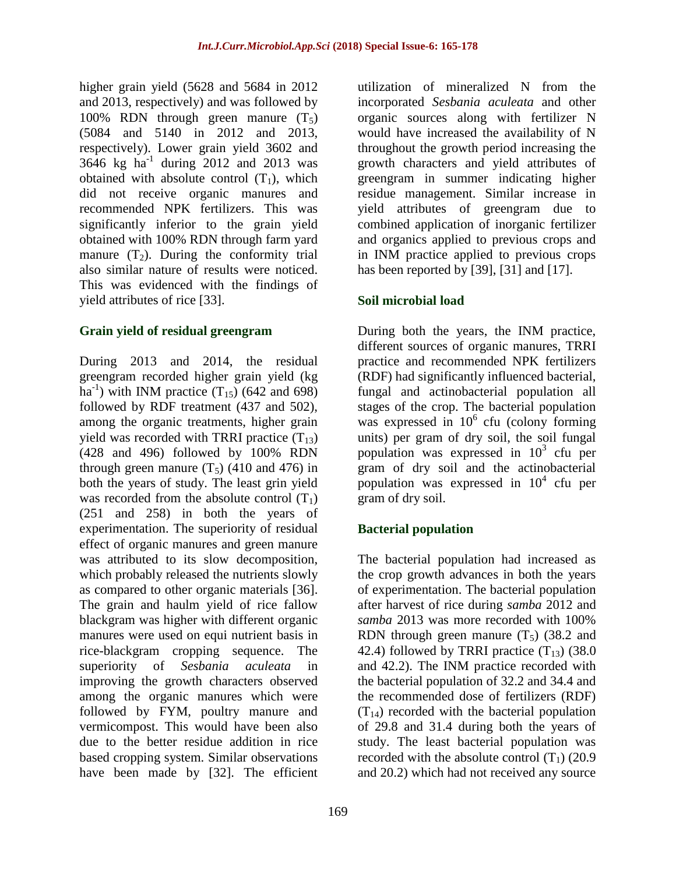higher grain yield (5628 and 5684 in 2012 and 2013, respectively) and was followed by 100% RDN through green manure  $(T_5)$ (5084 and 5140 in 2012 and 2013, respectively). Lower grain yield 3602 and 3646 kg ha-1 during 2012 and 2013 was obtained with absolute control  $(T_1)$ , which did not receive organic manures and recommended NPK fertilizers. This was significantly inferior to the grain yield obtained with 100% RDN through farm yard manure  $(T_2)$ . During the conformity trial also similar nature of results were noticed. This was evidenced with the findings of yield attributes of rice [33].

## **Grain yield of residual greengram**

During 2013 and 2014, the residual greengram recorded higher grain yield (kg  $\text{ha}^{-1}$ ) with INM practice  $(T_{15})$  (642 and 698) followed by RDF treatment (437 and 502), among the organic treatments, higher grain yield was recorded with TRRI practice  $(T_{13})$ (428 and 496) followed by 100% RDN through green manure  $(T_5)$  (410 and 476) in both the years of study. The least grin yield was recorded from the absolute control  $(T_1)$ (251 and 258) in both the years of experimentation. The superiority of residual effect of organic manures and green manure was attributed to its slow decomposition, which probably released the nutrients slowly as compared to other organic materials [36]. The grain and haulm yield of rice fallow blackgram was higher with different organic manures were used on equi nutrient basis in rice-blackgram cropping sequence. The superiority of *Sesbania aculeata* in improving the growth characters observed among the organic manures which were followed by FYM, poultry manure and vermicompost. This would have been also due to the better residue addition in rice based cropping system. Similar observations have been made by [32]. The efficient

utilization of mineralized N from the incorporated *Sesbania aculeata* and other organic sources along with fertilizer N would have increased the availability of N throughout the growth period increasing the growth characters and yield attributes of greengram in summer indicating higher residue management. Similar increase in yield attributes of greengram due to combined application of inorganic fertilizer and organics applied to previous crops and in INM practice applied to previous crops has been reported by [39], [31] and [17].

## **Soil microbial load**

During both the years, the INM practice, different sources of organic manures, TRRI practice and recommended NPK fertilizers (RDF) had significantly influenced bacterial, fungal and actinobacterial population all stages of the crop. The bacterial population was expressed in  $10^6$  cfu (colony forming units) per gram of dry soil, the soil fungal population was expressed in  $10^3$  cfu per gram of dry soil and the actinobacterial population was expressed in  $10^4$  cfu per gram of dry soil.

## **Bacterial population**

The bacterial population had increased as the crop growth advances in both the years of experimentation. The bacterial population after harvest of rice during *samba* 2012 and *samba* 2013 was more recorded with 100% RDN through green manure  $(T_5)$  (38.2 and 42.4) followed by TRRI practice  $(T_{13})$  (38.0) and 42.2). The INM practice recorded with the bacterial population of 32.2 and 34.4 and the recommended dose of fertilizers (RDF)  $(T_{14})$  recorded with the bacterial population of 29.8 and 31.4 during both the years of study. The least bacterial population was recorded with the absolute control  $(T_1)$  (20.9) and 20.2) which had not received any source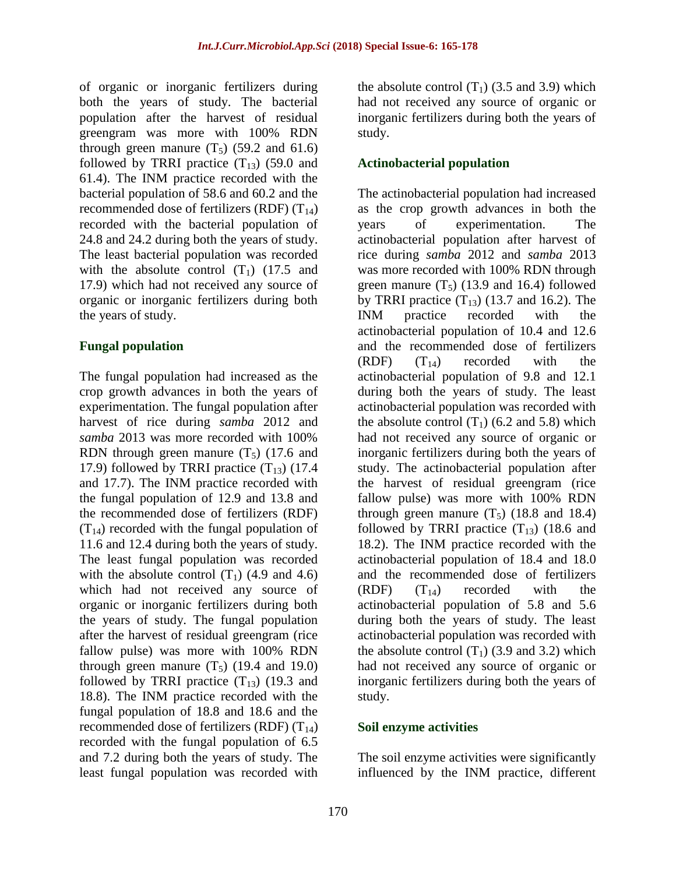of organic or inorganic fertilizers during both the years of study. The bacterial population after the harvest of residual greengram was more with 100% RDN through green manure  $(T_5)$  (59.2 and 61.6) followed by TRRI practice  $(T_{13})$  (59.0 and 61.4). The INM practice recorded with the bacterial population of 58.6 and 60.2 and the recommended dose of fertilizers (RDF)  $(T_{14})$ recorded with the bacterial population of 24.8 and 24.2 during both the years of study. The least bacterial population was recorded with the absolute control  $(T_1)$  (17.5 and 17.9) which had not received any source of organic or inorganic fertilizers during both the years of study.

#### **Fungal population**

The fungal population had increased as the crop growth advances in both the years of experimentation. The fungal population after harvest of rice during *samba* 2012 and *samba* 2013 was more recorded with 100% RDN through green manure  $(T_5)$  (17.6 and 17.9) followed by TRRI practice  $(T_{13})$  (17.4) and 17.7). The INM practice recorded with the fungal population of 12.9 and 13.8 and the recommended dose of fertilizers (RDF)  $(T_{14})$  recorded with the fungal population of 11.6 and 12.4 during both the years of study. The least fungal population was recorded with the absolute control  $(T_1)$  (4.9 and 4.6) which had not received any source of organic or inorganic fertilizers during both the years of study. The fungal population after the harvest of residual greengram (rice fallow pulse) was more with 100% RDN through green manure  $(T_5)$  (19.4 and 19.0) followed by TRRI practice  $(T_{13})$  (19.3 and 18.8). The INM practice recorded with the fungal population of 18.8 and 18.6 and the recommended dose of fertilizers (RDF)  $(T_{14})$ recorded with the fungal population of 6.5 and 7.2 during both the years of study. The least fungal population was recorded with

the absolute control  $(T_1)$  (3.5 and 3.9) which had not received any source of organic or inorganic fertilizers during both the years of study.

## **Actinobacterial population**

The actinobacterial population had increased as the crop growth advances in both the years of experimentation. The actinobacterial population after harvest of rice during *samba* 2012 and *samba* 2013 was more recorded with 100% RDN through green manure  $(T_5)$  (13.9 and 16.4) followed by TRRI practice  $(T_{13})$  (13.7 and 16.2). The INM practice recorded with the actinobacterial population of 10.4 and 12.6 and the recommended dose of fertilizers  $(RDF)$   $(T_{14})$  recorded with the actinobacterial population of 9.8 and 12.1 during both the years of study. The least actinobacterial population was recorded with the absolute control  $(T_1)$  (6.2 and 5.8) which had not received any source of organic or inorganic fertilizers during both the years of study. The actinobacterial population after the harvest of residual greengram (rice fallow pulse) was more with 100% RDN through green manure  $(T_5)$  (18.8 and 18.4) followed by TRRI practice  $(T_{13})$  (18.6 and 18.2). The INM practice recorded with the actinobacterial population of 18.4 and 18.0 and the recommended dose of fertilizers  $(RDF)$   $(T_{14})$  recorded with the actinobacterial population of 5.8 and 5.6 during both the years of study. The least actinobacterial population was recorded with the absolute control  $(T_1)$  (3.9 and 3.2) which had not received any source of organic or inorganic fertilizers during both the years of study.

#### **Soil enzyme activities**

The soil enzyme activities were significantly influenced by the INM practice, different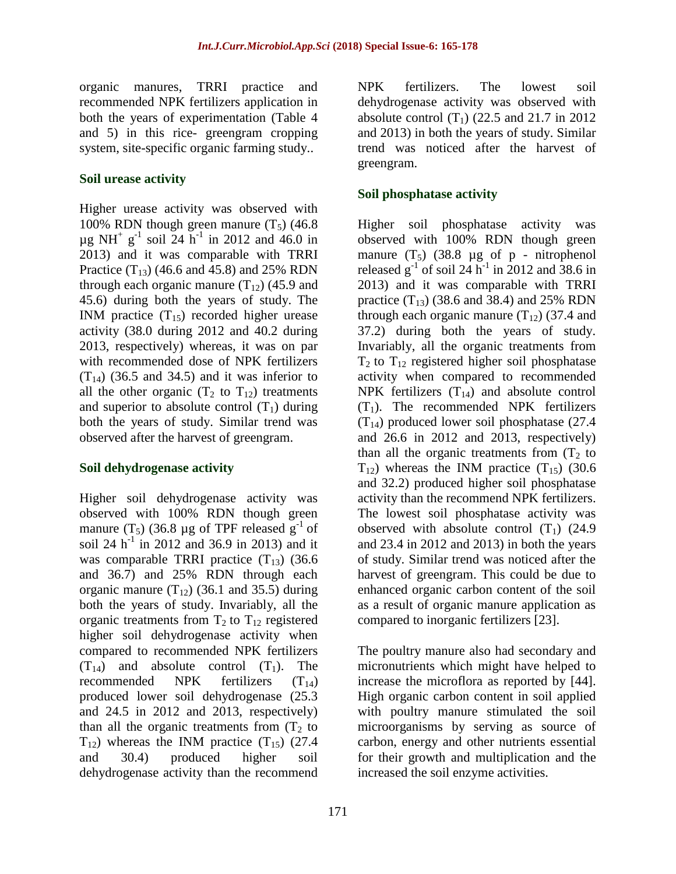organic manures, TRRI practice and recommended NPK fertilizers application in both the years of experimentation (Table 4 and 5) in this rice- greengram cropping system, site-specific organic farming study..

#### **Soil urease activity**

Higher urease activity was observed with 100% RDN though green manure  $(T_5)$  (46.8)  $\mu$ g NH<sup>+</sup> g<sup>-1</sup> soil 24 h<sup>-1</sup> in 2012 and 46.0 in 2013) and it was comparable with TRRI Practice  $(T_{13})$  (46.6 and 45.8) and 25% RDN through each organic manure  $(T_{12})$  (45.9 and 45.6) during both the years of study. The INM practice  $(T_{15})$  recorded higher urease activity (38.0 during 2012 and 40.2 during 2013, respectively) whereas, it was on par with recommended dose of NPK fertilizers  $(T_{14})$  (36.5 and 34.5) and it was inferior to all the other organic  $(T_2$  to  $T_{12}$ ) treatments and superior to absolute control  $(T_1)$  during both the years of study. Similar trend was observed after the harvest of greengram.

#### **Soil dehydrogenase activity**

Higher soil dehydrogenase activity was observed with 100% RDN though green manure  $(T_5)$  (36.8 µg of TPF released  $g^{-1}$  of soil 24  $h^{-1}$  in 2012 and 36.9 in 2013) and it was comparable TRRI practice  $(T_{13})$  (36.6) and 36.7) and 25% RDN through each organic manure  $(T_{12})$  (36.1 and 35.5) during both the years of study. Invariably, all the organic treatments from  $T_2$  to  $T_{12}$  registered higher soil dehydrogenase activity when compared to recommended NPK fertilizers  $(T_{14})$  and absolute control  $(T_1)$ . The recommended NPK fertilizers  $(T_{14})$ produced lower soil dehydrogenase (25.3 and 24.5 in 2012 and 2013, respectively) than all the organic treatments from  $(T_2)$  to  $T_{12}$ ) whereas the INM practice  $(T_{15})$  (27.4) and 30.4) produced higher soil dehydrogenase activity than the recommend

NPK fertilizers. The lowest soil dehydrogenase activity was observed with absolute control  $(T_1)$  (22.5 and 21.7 in 2012) and 2013) in both the years of study. Similar trend was noticed after the harvest of greengram.

## **Soil phosphatase activity**

Higher soil phosphatase activity was observed with 100% RDN though green manure  $(T_5)$  (38.8  $\mu$ g of p - nitrophenol released  $g^{-1}$  of soil 24 h<sup>-1</sup> in 2012 and 38.6 in 2013) and it was comparable with TRRI practice  $(T_{13})$  (38.6 and 38.4) and 25% RDN through each organic manure  $(T_{12})$  (37.4 and 37.2) during both the years of study. Invariably, all the organic treatments from  $T_2$  to  $T_{12}$  registered higher soil phosphatase activity when compared to recommended NPK fertilizers  $(T_{14})$  and absolute control  $(T_1)$ . The recommended NPK fertilizers  $(T_{14})$  produced lower soil phosphatase (27.4) and 26.6 in 2012 and 2013, respectively) than all the organic treatments from  $(T_2)$  to  $T_{12}$ ) whereas the INM practice  $(T_{15})$  (30.6) and 32.2) produced higher soil phosphatase activity than the recommend NPK fertilizers. The lowest soil phosphatase activity was observed with absolute control  $(T_1)$  (24.9) and 23.4 in 2012 and 2013) in both the years of study. Similar trend was noticed after the harvest of greengram. This could be due to enhanced organic carbon content of the soil as a result of organic manure application as compared to inorganic fertilizers [23].

The poultry manure also had secondary and micronutrients which might have helped to increase the microflora as reported by [44]. High organic carbon content in soil applied with poultry manure stimulated the soil microorganisms by serving as source of carbon, energy and other nutrients essential for their growth and multiplication and the increased the soil enzyme activities.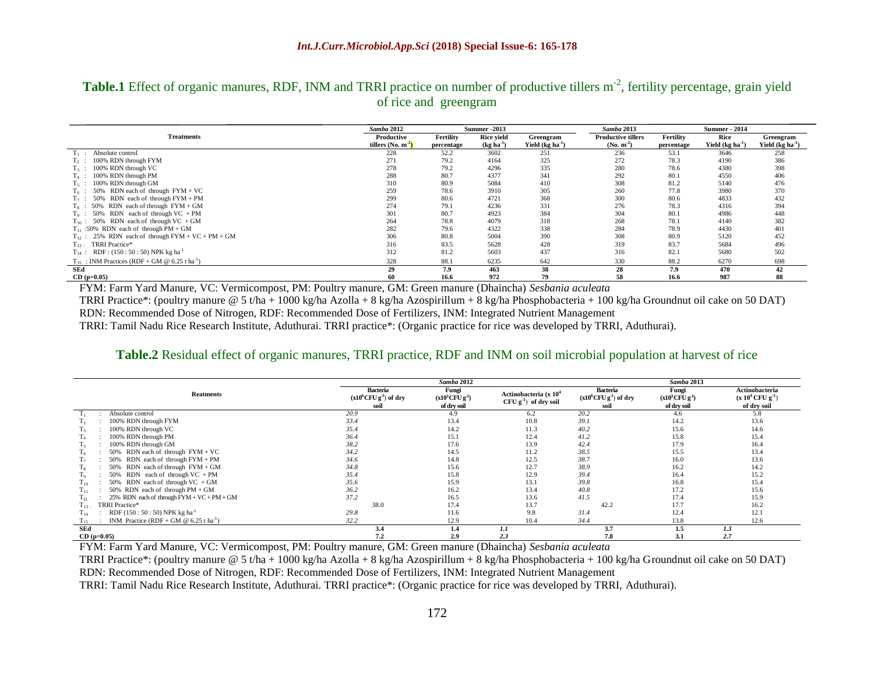## Table.1 Effect of organic manures, RDF, INM and TRRI practice on number of productive tillers m<sup>-2</sup>, fertility percentage, grain yield of rice and greengram

|                                                                | <b>Samba 2012</b><br><b>Summer -2013</b> |                         |                                  |                                | Samba 2013                               | <b>Summer - 2014</b>    |                           |                                |
|----------------------------------------------------------------|------------------------------------------|-------------------------|----------------------------------|--------------------------------|------------------------------------------|-------------------------|---------------------------|--------------------------------|
| <b>Treatments</b>                                              | Productive<br>tillers (No. $m^2$ )       | Fertility<br>percentage | <b>Rice vield</b><br>$(kg ha-1)$ | Greengram<br>Yield $(kg ha-1)$ | <b>Productive tillers</b><br>$(No. m-2)$ | Fertility<br>percentage | Rice<br>Yield $(kg ha-1)$ | Greengram<br>Yield $(kg ha-1)$ |
| Absolute control<br>Ti :                                       | 228                                      | 52.2                    | 3602                             | 251                            | 236                                      | 53.1                    | 3646                      | 258                            |
| $T_2$ : 100% RDN through FYM                                   | 271                                      | 79.2                    | 4164                             | 325                            | 272                                      | 78.3                    | 4190                      | 386                            |
| 100% RDN through VC<br>$T_3$ :                                 | 278                                      | 79.2                    | 4296                             | 335                            | 280                                      | 78.6                    | 4380                      | 398                            |
| 100% RDN through PM<br>$T_4$ :                                 | 288                                      | 80.7                    | 4377                             | 341                            | 292                                      | 80.1                    | 4550                      | 406                            |
| 100% RDN through GM<br>$T_5$ :                                 | 310                                      | 80.9                    | 5084                             | 410                            | 308                                      | 81.2                    | 5140                      | 476                            |
| 50% RDN each of through $FYM + VC$<br>$T_6$ :                  | 259                                      | 78.6                    | 3910                             | 305                            | 260                                      | 77.8                    | 3980                      | 370                            |
| RDN each of through $FYM + PM$<br>50%<br>$T_7$ :               | 299                                      | 80.6                    | 4721                             | 368                            | 300                                      | 80.6                    | 4833                      | 432                            |
| $T_8$ : 50% RDN each of through FYM + GM                       | 274                                      | 79.1                    | 4236                             | 331                            | 276                                      | 78.3                    | 4316                      | 394                            |
| $T_9$ : 50% RDN each of through VC + PM                        | 301                                      | 80.7                    | 4923                             | 384                            | 304                                      | 80.1                    | 4986                      | 448                            |
| $T_{10}$ : 50% RDN each of through VC + GM                     | 264                                      | 78.8                    | 4079                             | 318                            | 268                                      | 78.1                    | 4140                      | 382                            |
| $T_{11}$ :50% RDN each of through PM + GM                      | 282                                      | 79.6                    | 4322                             | 338                            | 284                                      | 78.9                    | 4430                      | 401                            |
| $T_{12}$ : 25% RDN each of through FYM + VC + PM + GM          | 306                                      | 80.8                    | 5004                             | 390                            | 308                                      | 80.9                    | 5120                      | 452                            |
| TRRI Practice*<br>$T_{13}$ :                                   | 316                                      | 83.5                    | 5628                             | 428                            | 319                                      | 83.7                    | 5684                      | 496                            |
| $T_{14}$ : RDF: (150:50:50) NPK kg ha <sup>-1</sup>            | 312                                      | 81.2                    | 5603                             | 437                            | 316                                      | 82.1                    | 5680                      | 502                            |
| $T_{15}$ : INM Practices (RDF + GM @ 6.25 t ha <sup>-1</sup> ) | 328                                      | 88.1                    | 6235                             | 642                            | 330                                      | 88.2                    | 6270                      | 698                            |
| SEd                                                            | 29                                       | 7.9                     | 463                              | 38                             | 28                                       | 7.9                     | 470                       | 42                             |
| $CD (p=0.05)$                                                  | 60                                       | 16.6                    | 972                              | 79                             | 58                                       | 16.6                    | 987                       | 88                             |

FYM: Farm Yard Manure, VC: Vermicompost, PM: Poultry manure, GM: Green manure (Dhaincha) *Sesbania aculeata*

TRRI Practice\*: (poultry manure @ 5 t/ha + 1000 kg/ha Azolla + 8 kg/ha Azospirillum + 8 kg/ha Phosphobacteria + 100 kg/ha Groundnut oil cake on 50 DAT)

RDN: Recommended Dose of Nitrogen, RDF: Recommended Dose of Fertilizers, INM: Integrated Nutrient Management

TRRI: Tamil Nadu Rice Research Institute, Aduthurai. TRRI practice\*: (Organic practice for rice was developed by TRRI, Aduthurai).

#### **Table.2** Residual effect of organic manures, TRRI practice, RDF and INM on soil microbial population at harvest of rice

|                                                          |                                                                 | Samba 2012                                             |                                                               |                                                                 | Samba 2013                                             |                                                                  |
|----------------------------------------------------------|-----------------------------------------------------------------|--------------------------------------------------------|---------------------------------------------------------------|-----------------------------------------------------------------|--------------------------------------------------------|------------------------------------------------------------------|
| <b>Reatments</b>                                         | <b>Bacteria</b><br>$(x10^6$ CFU g <sup>1</sup> ) of dry<br>soil | Fungi<br>$(x10^3$ CFU g <sup>-1</sup> )<br>of dry soil | Actinobacteria (x 10 <sup>4</sup><br>$CFU g^{-1}$ of dry soil | <b>Bacteria</b><br>$(x10^6$ CFU g <sup>1</sup> ) of dry<br>soil | Fungi<br>$(x10^3$ CFU g <sup>-1</sup> )<br>of dry soil | <b>Actinobacteria</b><br>$(x 10^4$ CFU $g^{-1}$ )<br>of dry soil |
| Absolute control                                         | 20.9                                                            | 4.9                                                    | 6.2                                                           | 20.2                                                            | 4.6                                                    | 5.8                                                              |
| 100% RDN through FYM                                     | 33.4                                                            | 13.4                                                   | 10.8                                                          | 39.1                                                            | 14.2                                                   | 13.6                                                             |
| 100% RDN through VC                                      | 35.4                                                            | 14.2                                                   | 11.3                                                          | 40.2                                                            | 15.6                                                   | 14.6                                                             |
| 100% RDN through PM                                      | 36.4                                                            | 15.1                                                   | 12.4                                                          | 41.2                                                            | 15.8                                                   | 15.4                                                             |
| 100% RDN through GM<br>15                                | 38.2                                                            | 17.6                                                   | 13.9                                                          | 42.4                                                            | 17.9                                                   | 16.4                                                             |
| 50% RDN each of through $FYM + VC$                       | 34.2                                                            | 14.5                                                   | 11.2                                                          | 38.5                                                            | 15.5                                                   | 13.4                                                             |
| 50% RDN each of through $FYM + PM$<br>T7.                | 34.6                                                            | 14.8                                                   | 12.5                                                          | 38.7                                                            | 16.0                                                   | 13.6                                                             |
| 50% RDN each of through $FYM + GM$                       | 34.8                                                            | 15.6                                                   | 12.7                                                          | 38.9                                                            | 16.2                                                   | 14.2                                                             |
| 50% RDN each of through $VC$ + PM                        | 35.4                                                            | 15.8                                                   | 12.9                                                          | 39.4                                                            | 16.4                                                   | 15.2                                                             |
| 50% RDN each of through $VC + GM$<br>$1_{10}$            | 35.6                                                            | 15.9                                                   | 13.1                                                          | 39.8                                                            | 16.8                                                   | 15.4                                                             |
| 50% RDN each of through $PM + GM$<br>Tu.                 | 36.2                                                            | 16.2                                                   | 13.4                                                          | 40.8                                                            | 17.2                                                   | 15.6                                                             |
| 25% RDN each of through $FYM + VC + PM + GM$<br>$T_{12}$ | 37.2                                                            | 16.5                                                   | 13.6                                                          | 41.5                                                            | 17.4                                                   | 15.9                                                             |
| TRRI Practice*<br>$T_{13}$ .                             | 38.0                                                            | 17.4                                                   | 13.7                                                          | 42.2                                                            | 17.7                                                   | 16.2                                                             |
| RDF (150 : 50 : 50) NPK kg ha <sup>-1</sup><br>$1_{14}$  | 29.8                                                            | 11.6                                                   | 9.8                                                           | 31.4                                                            | 12.4                                                   | 12.1                                                             |
| INM Practice (RDF + GM $@$ 6.25 t ha <sup>-1</sup> )     | 32.2                                                            | 12.9                                                   | 10.4                                                          | 34.4                                                            | 13.8                                                   | 12.6                                                             |
| SEd                                                      | 3.4                                                             | 1.4                                                    | 1.1                                                           | 3.7                                                             | 1.5                                                    | 1.3                                                              |
| $CD (p=0.05)$                                            | 7.2                                                             | 2.9                                                    | 2.3                                                           | 7.8                                                             | 3.1                                                    | 2.7                                                              |

**CD (p=0.05) 7.2 2.9** *2.3* **7.8 3.1** *2.7* FYM: Farm Yard Manure, VC: Vermicompost, PM: Poultry manure, GM: Green manure (Dhaincha) *Sesbania aculeata*

TRRI Practice\*: (poultry manure @ 5 t/ha + 1000 kg/ha Azolla + 8 kg/ha Azospirillum + 8 kg/ha Phosphobacteria + 100 kg/ha Groundnut oil cake on 50 DAT) RDN: Recommended Dose of Nitrogen, RDF: Recommended Dose of Fertilizers, INM: Integrated Nutrient Management

TRRI: Tamil Nadu Rice Research Institute, Aduthurai. TRRI practice\*: (Organic practice for rice was developed by TRRI, Aduthurai).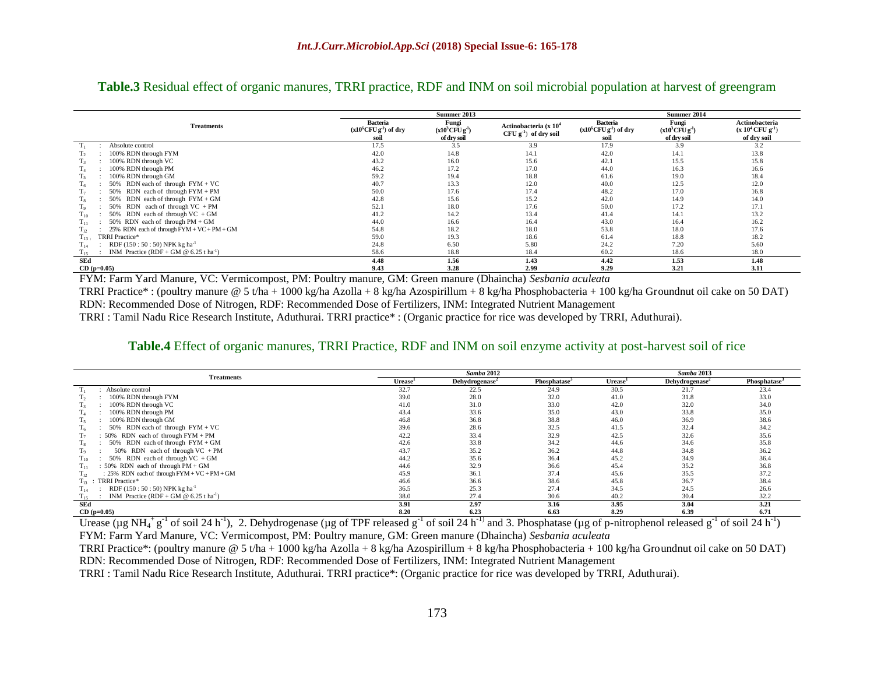#### **Table.3** Residual effect of organic manures, TRRI practice, RDF and INM on soil microbial population at harvest of greengram

|                                                                  | Summer 2013                                                     |                                                        |                                                            | Summer 2014                                                     |                                                       |                                                           |  |
|------------------------------------------------------------------|-----------------------------------------------------------------|--------------------------------------------------------|------------------------------------------------------------|-----------------------------------------------------------------|-------------------------------------------------------|-----------------------------------------------------------|--|
| <b>Treatments</b>                                                | <b>Bacteria</b><br>$(x10^6$ CFU g <sup>1</sup> ) of dry<br>soil | Fungi<br>$(x10^3$ CFU g <sup>-1</sup> )<br>of dry soil | Actinobacteria (x 10 <sup>4</sup><br>$CFU g-1$ of dry soil | <b>Bacteria</b><br>$(x10^6$ CFU g <sup>1</sup> ) of dry<br>soil | Fungi<br>$(x10^3$ CFU g <sup>1</sup> )<br>of dry soil | Actinobacteria<br>$(x 10^4$ CFU $g^{-1}$ )<br>of dry soil |  |
| Absolute control                                                 | 17.5                                                            | 3.5                                                    | 3.9                                                        | 17.9                                                            | 3.9                                                   | 3.2                                                       |  |
| 100% RDN through FYM<br>1 <sub>2</sub>                           | 42.0                                                            | 14.8                                                   | 14.1                                                       | 42.0                                                            | 14.1                                                  | 13.8                                                      |  |
| 100% RDN through VC<br>1 <sub>3</sub>                            | 43.2                                                            | 16.0                                                   | 15.6                                                       | 42.1                                                            | 15.5                                                  | 15.8                                                      |  |
| 100% RDN through PM<br>Ta.                                       | 46.2                                                            | 17.2                                                   | 17.0                                                       | 44.0                                                            | 16.3                                                  | 16.6                                                      |  |
| 100% RDN through GM<br>Τç                                        | 59.2                                                            | 19.4                                                   | 18.8                                                       | 61.6                                                            | 19.0                                                  | 18.4                                                      |  |
| 50% RDN each of through $FYM + VC$                               | 40.7                                                            | 13.3                                                   | 12.0                                                       | 40.0                                                            | 12.5                                                  | 12.0                                                      |  |
| 50% RDN each of through FYM + PM<br>T <sub>7</sub>               | 50.0                                                            | 17.6                                                   | 17.4                                                       | 48.2                                                            | 17.0                                                  | 16.8                                                      |  |
| 50% RDN each of through $FYM + GM$                               | 42.8                                                            | 15.6                                                   | 15.2                                                       | 42.0                                                            | 14.9                                                  | 14.0                                                      |  |
| 50% RDN each of through $VC$ + PM<br>19                          | 52.1                                                            | 18.0                                                   | 17.6                                                       | 50.0                                                            | 17.2                                                  | 17.1                                                      |  |
| 50% RDN each of through $VC + GM$<br>$1_{10}$                    | 41.2                                                            | 14.2                                                   | 13.4                                                       | 41.4                                                            | 14.1                                                  | 13.2                                                      |  |
| 50% RDN each of through $PM + GM$<br>1 <sub>11</sub>             | 44.0                                                            | 16.6                                                   | 16.4                                                       | 43.0                                                            | 16.4                                                  | 16.2                                                      |  |
| 25% RDN each of through $FYM + VC + PM + GM$<br>$1_{12}$         | 54.8                                                            | 18.2                                                   | 18.0                                                       | 53.8                                                            | 18.0                                                  | 17.6                                                      |  |
| TRRI Practice*<br>$1_{13}$ .                                     | 59.0                                                            | 19.3                                                   | 18.6                                                       | 61.4                                                            | 18.8                                                  | 18.2                                                      |  |
| RDF (150 : 50 : 50) NPK kg ha <sup>-1</sup><br>$T_{14}$          | 24.8                                                            | 6.50                                                   | 5.80                                                       | 24.2                                                            | 7.20                                                  | 5.60                                                      |  |
| INM Practice (RDF + GM $@$ 6.25 t ha <sup>-1</sup> )<br>$T_{15}$ | 58.6                                                            | 18.8                                                   | 18.4                                                       | 60.2                                                            | 18.6                                                  | 18.0                                                      |  |
| SEd                                                              | 4.48                                                            | 1.56                                                   | 1.43                                                       | 4.42                                                            | 1.53                                                  | 1.48                                                      |  |
| $CD (p=0.05)$                                                    | 9.43                                                            | 3.28                                                   | 2.99                                                       | 9.29                                                            | 3.21                                                  | 3.11                                                      |  |

FYM: Farm Yard Manure, VC: Vermicompost, PM: Poultry manure, GM: Green manure (Dhaincha) *Sesbania aculeata*

TRRI Practice\* : (poultry manure @ 5 t/ha + 1000 kg/ha Azolla + 8 kg/ha Azospirillum + 8 kg/ha Phosphobacteria + 100 kg/ha Groundnut oil cake on 50 DAT) RDN: Recommended Dose of Nitrogen, RDF: Recommended Dose of Fertilizers, INM: Integrated Nutrient Management

TRRI : Tamil Nadu Rice Research Institute, Aduthurai. TRRI practice\* : (Organic practice for rice was developed by TRRI, Aduthurai).

#### **Table.4** Effect of organic manures, TRRI Practice, RDF and INM on soil enzyme activity at post-harvest soil of rice

|                                                                  |                     | Samba 2012                 | Samba 2013               |        |                            |                          |
|------------------------------------------------------------------|---------------------|----------------------------|--------------------------|--------|----------------------------|--------------------------|
| <b>Treatments</b>                                                | Urease <sup>1</sup> | Dehydrogenase <sup>2</sup> | Phosphatase <sup>3</sup> | Urease | Dehydrogenase <sup>2</sup> | Phosphatase <sup>3</sup> |
| Absolute control                                                 | 32.7                | 22.5                       | 24.9                     | 30.5   | 21.7                       | 23.4                     |
| 100% RDN through FYM                                             | 39.0                | 28.0                       | 32.0                     | 41.0   | 31.8                       | 33.0                     |
| 100% RDN through VC                                              | 41.0                | 31.0                       | 33.0                     | 42.0   | 32.0                       | 34.0                     |
| 100% RDN through PM                                              | 43.4                | 33.6                       | 35.0                     | 43.0   | 33.8                       | 35.0                     |
| 100% RDN through GM                                              | 46.8                | 36.8                       | 38.8                     | 46.0   | 36.9                       | 38.6                     |
| 50% RDN each of through $FYM + VC$                               | 39.6                | 28.6                       | 32.5                     | 41.5   | 32.4                       | 34.2                     |
| : $50\%$ RDN each of through $FYM + PM$                          | 42.2                | 33.4                       | 32.9                     | 42.5   | 32.6                       | 35.6                     |
| 50% RDN each of through $FYM + GM$                               | 42.6                | 33.8                       | 34.2                     | 44.6   | 34.6                       | 35.8                     |
| 50% RDN each of through $VC$ + PM                                | 43.7                | 35.2                       | 36.2                     | 44.8   | 34.8                       | 36.2                     |
| 50% RDN each of through $VC + GM$<br>110                         | 44.2                | 35.6                       | 36.4                     | 45.2   | 34.9                       | 36.4                     |
| : 50% RDN each of through $PM + GM$<br>1 <sub>11</sub>           | 44.6                | 32.9                       | 36.6                     | 45.4   | 35.2                       | 36.8                     |
| : $25\%$ RDN each of through $FYM + VC + PM + GM$<br>$1_{12}$    | 45.9                | 36.1                       | 37.4                     | 45.6   | 35.5                       | 37.2                     |
| TRRI Practice*<br>$T_{13}$ :                                     | 46.6                | 36.6                       | 38.6                     | 45.8   | 36.7                       | 38.4                     |
| RDF (150 : 50 : 50) NPK kg ha <sup>-1</sup><br>$1_{14}$          | 36.5                | 25.3                       | 27.4                     | 34.5   | 24.5                       | 26.6                     |
| INM Practice (RDF + GM $@$ 6.25 t ha <sup>-1</sup> )<br>$1_{15}$ | 38.0                | 27.4                       | 30.6                     | 40.2   | 30.4                       | 32.2                     |
| SEd                                                              | 3.91                | 2.97                       | 3.16                     | 3.95   | 3.04                       | 3.21                     |
| $CD (p=0.05)$                                                    | 8.20                | 6.23                       | 6.63                     | 8.29   | 6.39                       | 6.71                     |

 $\frac{1}{2}$   $\frac{6.23}{1}$   $\frac{6.23}{1}$   $\frac{6.23}{1}$   $\frac{6.23}{1}$   $\frac{6.23}{1}$   $\frac{6.23}{1}$   $\frac{6.23}{1}$   $\frac{6.23}{1}$   $\frac{6.23}{1}$   $\frac{6.23}{1}$   $\frac{6.23}{1}$   $\frac{6.23}{1}$   $\frac{6.23}{1}$   $\frac{6.23}{1}$   $\frac{6.23}{1}$   $\frac{6.23}{1}$   $\frac$ FYM: Farm Yard Manure, VC: Vermicompost, PM: Poultry manure, GM: Green manure (Dhaincha) *Sesbania aculeata*

TRRI Practice\*: (poultry manure @ 5 t/ha + 1000 kg/ha Azolla + 8 kg/ha Azospirillum + 8 kg/ha Phosphobacteria + 100 kg/ha Groundnut oil cake on 50 DAT) RDN: Recommended Dose of Nitrogen, RDF: Recommended Dose of Fertilizers, INM: Integrated Nutrient Management

TRRI : Tamil Nadu Rice Research Institute, Aduthurai. TRRI practice\*: (Organic practice for rice was developed by TRRI, Aduthurai).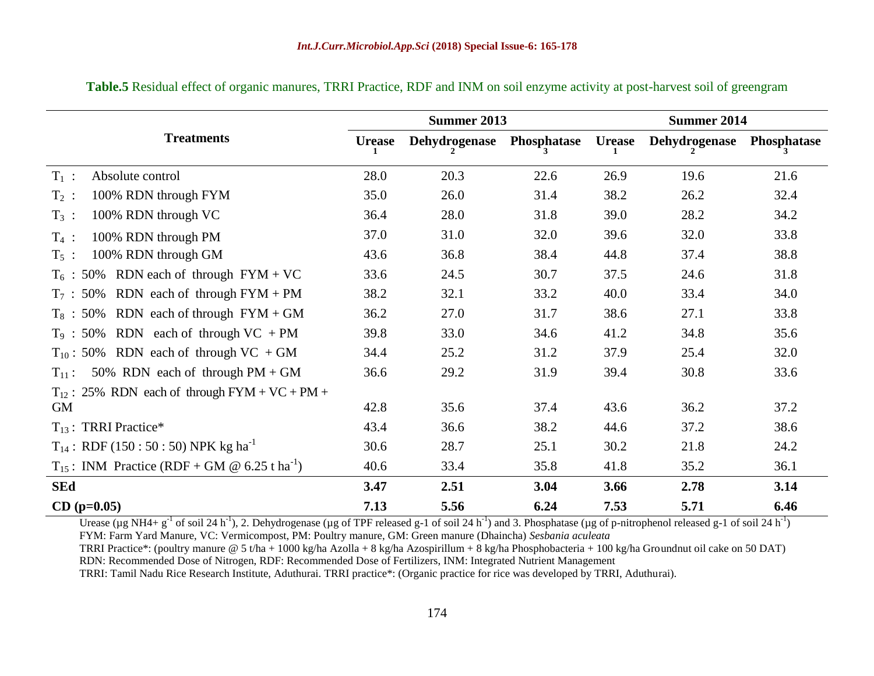| Summer 2013                                                   |               |                      |             |               | Summer 2014   |             |  |
|---------------------------------------------------------------|---------------|----------------------|-------------|---------------|---------------|-------------|--|
| <b>Treatments</b>                                             | <b>Urease</b> | <b>Dehydrogenase</b> | Phosphatase | <b>Urease</b> | Dehydrogenase | Phosphatase |  |
| $T_1$ :<br>Absolute control                                   | 28.0          | 20.3                 | 22.6        | 26.9          | 19.6          | 21.6        |  |
| 100% RDN through FYM<br>$T_2$ :                               | 35.0          | 26.0                 | 31.4        | 38.2          | 26.2          | 32.4        |  |
| 100% RDN through VC<br>$T_3$ :                                | 36.4          | 28.0                 | 31.8        | 39.0          | 28.2          | 34.2        |  |
| $T_4$ :<br>100% RDN through PM                                | 37.0          | 31.0                 | 32.0        | 39.6          | 32.0          | 33.8        |  |
| 100% RDN through GM<br>$T_5$ :                                | 43.6          | 36.8                 | 38.4        | 44.8          | 37.4          | 38.8        |  |
| $T_6$ : 50% RDN each of through FYM + VC                      | 33.6          | 24.5                 | 30.7        | 37.5          | 24.6          | 31.8        |  |
| $T_7$ : 50% RDN each of through FYM + PM                      | 38.2          | 32.1                 | 33.2        | 40.0          | 33.4          | 34.0        |  |
| $T_8$ : 50% RDN each of through FYM + GM                      | 36.2          | 27.0                 | 31.7        | 38.6          | 27.1          | 33.8        |  |
| $T_9$ : 50% RDN each of through VC + PM                       | 39.8          | 33.0                 | 34.6        | 41.2          | 34.8          | 35.6        |  |
| $T_{10}$ : 50% RDN each of through VC + GM                    | 34.4          | 25.2                 | 31.2        | 37.9          | 25.4          | 32.0        |  |
| 50% RDN each of through $PM + GM$<br>$T_{11}$ :               | 36.6          | 29.2                 | 31.9        | 39.4          | 30.8          | 33.6        |  |
| $T_{12}$ : 25% RDN each of through FYM + VC + PM +            |               |                      |             |               |               |             |  |
| GM                                                            | 42.8          | 35.6                 | 37.4        | 43.6          | 36.2          | 37.2        |  |
| $T_{13}$ : TRRI Practice*                                     | 43.4          | 36.6                 | 38.2        | 44.6          | 37.2          | 38.6        |  |
| $T_{14}$ : RDF (150 : 50 : 50) NPK kg ha <sup>-1</sup>        | 30.6          | 28.7                 | 25.1        | 30.2          | 21.8          | 24.2        |  |
| $T_{15}$ : INM Practice (RDF + GM @ 6.25 t ha <sup>-1</sup> ) | 40.6          | 33.4                 | 35.8        | 41.8          | 35.2          | 36.1        |  |
| <b>SEd</b>                                                    | 3.47          | 2.51                 | 3.04        | 3.66          | 2.78          | 3.14        |  |
| $CD (p=0.05)$                                                 | 7.13          | 5.56                 | 6.24        | 7.53          | 5.71          | 6.46        |  |

**Table.5** Residual effect of organic manures, TRRI Practice, RDF and INM on soil enzyme activity at post-harvest soil of greengram

Urease (µg NH4+ g<sup>-1</sup> of soil 24 h<sup>-1</sup>), 2. Dehydrogenase (µg of TPF released g-1 of soil 24 h<sup>-1</sup>) and 3. Phosphatase (µg of p-nitrophenol released g-1 of soil 24 h<sup>-1</sup>) FYM: Farm Yard Manure, VC: Vermicompost, PM: Poultry manure, GM: Green manure (Dhaincha) *Sesbania aculeata*

TRRI Practice\*: (poultry manure @ 5 t/ha + 1000 kg/ha Azolla + 8 kg/ha Azospirillum + 8 kg/ha Phosphobacteria + 100 kg/ha Groundnut oil cake on 50 DAT) RDN: Recommended Dose of Nitrogen, RDF: Recommended Dose of Fertilizers, INM: Integrated Nutrient Management

TRRI: Tamil Nadu Rice Research Institute, Aduthurai. TRRI practice\*: (Organic practice for rice was developed by TRRI, Aduthurai).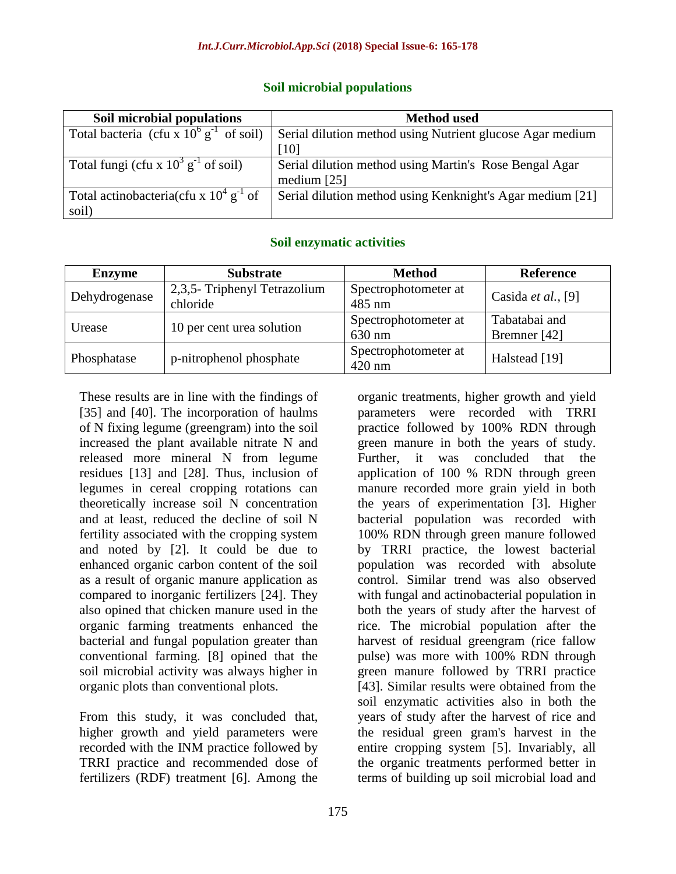## **Soil microbial populations**

| Soil microbial populations                            | <b>Method</b> used                                        |
|-------------------------------------------------------|-----------------------------------------------------------|
| Total bacteria (cfu x $10^6$ g <sup>-1</sup> of soil) | Serial dilution method using Nutrient glucose Agar medium |
|                                                       | [10]                                                      |
| Total fungi (cfu x $10^3$ g <sup>-1</sup> of soil)    | Serial dilution method using Martin's Rose Bengal Agar    |
|                                                       | medium $[25]$                                             |
| Total actinobacteria(cfu x $10^4$ g <sup>-1</sup> of  | Serial dilution method using Kenknight's Agar medium [21] |
| soil)                                                 |                                                           |

## **Soil enzymatic activities**

| <b>Enzyme</b> | <b>Substrate</b>                         | <b>Method</b>                            | <b>Reference</b>              |
|---------------|------------------------------------------|------------------------------------------|-------------------------------|
| Dehydrogenase | 2,3,5- Triphenyl Tetrazolium<br>chloride | Spectrophotometer at<br>$485$ nm         | Casida <i>et al.</i> , [9]    |
| Urease        | 10 per cent urea solution                | Spectrophotometer at<br>630 nm           | Tabatabai and<br>Bremner [42] |
| Phosphatase   | p-nitrophenol phosphate                  | Spectrophotometer at<br>$420 \text{ nm}$ | Halstead [19]                 |

These results are in line with the findings of [35] and [40]. The incorporation of haulms of N fixing legume (greengram) into the soil increased the plant available nitrate N and released more mineral N from legume residues [13] and [28]. Thus, inclusion of legumes in cereal cropping rotations can theoretically increase soil N concentration and at least, reduced the decline of soil N fertility associated with the cropping system and noted by [2]. It could be due to enhanced organic carbon content of the soil as a result of organic manure application as compared to inorganic fertilizers [24]. They also opined that chicken manure used in the organic farming treatments enhanced the bacterial and fungal population greater than conventional farming. [8] opined that the soil microbial activity was always higher in organic plots than conventional plots.

From this study, it was concluded that, higher growth and yield parameters were recorded with the INM practice followed by TRRI practice and recommended dose of fertilizers (RDF) treatment [6]. Among the

organic treatments, higher growth and yield parameters were recorded with TRRI practice followed by 100% RDN through green manure in both the years of study. Further, it was concluded that the application of 100 % RDN through green manure recorded more grain yield in both the years of experimentation [3]. Higher bacterial population was recorded with 100% RDN through green manure followed by TRRI practice, the lowest bacterial population was recorded with absolute control. Similar trend was also observed with fungal and actinobacterial population in both the years of study after the harvest of rice. The microbial population after the harvest of residual greengram (rice fallow pulse) was more with 100% RDN through green manure followed by TRRI practice [43]. Similar results were obtained from the soil enzymatic activities also in both the years of study after the harvest of rice and the residual green gram's harvest in the entire cropping system [5]. Invariably, all the organic treatments performed better in terms of building up soil microbial load and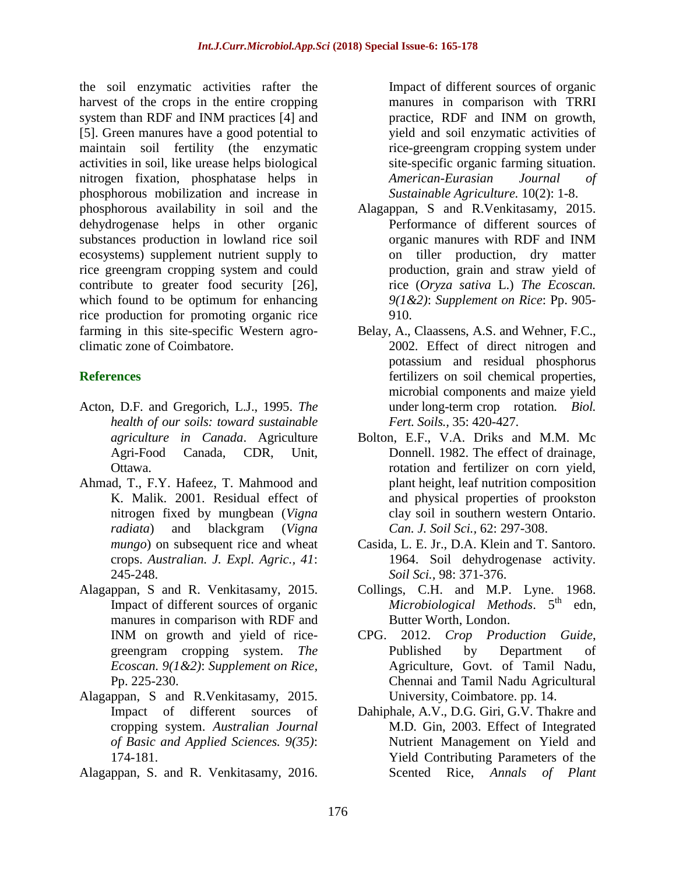the soil enzymatic activities rafter the harvest of the crops in the entire cropping system than RDF and INM practices [4] and [5]. Green manures have a good potential to maintain soil fertility (the enzymatic activities in soil, like urease helps biological nitrogen fixation, phosphatase helps in phosphorous mobilization and increase in phosphorous availability in soil and the dehydrogenase helps in other organic substances production in lowland rice soil ecosystems) supplement nutrient supply to rice greengram cropping system and could contribute to greater food security [26], which found to be optimum for enhancing rice production for promoting organic rice farming in this site-specific Western agroclimatic zone of Coimbatore.

## **References**

- Acton, D.F. and Gregorich, L.J., 1995. *The health of our soils: toward sustainable agriculture in Canada*. Agriculture Agri-Food Canada, CDR, Unit, Ottawa.
- Ahmad, T., F.Y. Hafeez, T. Mahmood and K. Malik. 2001. Residual effect of nitrogen fixed by mungbean (*Vigna radiata*) and blackgram (*Vigna mungo*) on subsequent rice and wheat crops. *Australian. J. Expl. Agric., 41*: 245-248.
- Alagappan, S and R. Venkitasamy, 2015. Impact of different sources of organic manures in comparison with RDF and INM on growth and yield of ricegreengram cropping system. *The Ecoscan. 9(1&2)*: *Supplement on Rice,* Pp. 225-230.
- Alagappan, S and R.Venkitasamy, 2015. Impact of different sources of cropping system. *Australian Journal of Basic and Applied Sciences. 9(35)*: 174-181.
- Alagappan, S. and R. Venkitasamy, 2016.

Impact of different sources of organic manures in comparison with TRRI practice, RDF and INM on growth, yield and soil enzymatic activities of rice-greengram cropping system under site-specific organic farming situation. *American-Eurasian Journal of Sustainable Agriculture.* 10(2): 1-8.

- Alagappan, S and R.Venkitasamy, 2015. Performance of different sources of organic manures with RDF and INM on tiller production, dry matter production, grain and straw yield of rice (*Oryza sativa* L.) *The Ecoscan. 9(1&2)*: *Supplement on Rice*: Pp. 905- 910.
- Belay, A., Claassens, A.S. and Wehner, F.C., 2002. Effect of direct nitrogen and potassium and residual phosphorus fertilizers on soil chemical properties, microbial components and maize yield under long-term crop rotation*. Biol. Fert. Soils.,* 35: 420-427.
- Bolton, E.F., V.A. Driks and M.M. Mc Donnell. 1982. The effect of drainage, rotation and fertilizer on corn yield, plant height, leaf nutrition composition and physical properties of prookston clay soil in southern western Ontario. *Can. J. Soil Sci.,* 62: 297-308.
- Casida, L. E. Jr., D.A. Klein and T. Santoro. 1964. Soil dehydrogenase activity. *Soil Sci.,* 98: 371-376.
- Collings, C.H. and M.P. Lyne. 1968. *Microbiological Methods*. 5<sup>th</sup> edn, Butter Worth, London.
- CPG. 2012. *Crop Production Guide*, Published by Department of Agriculture, Govt. of Tamil Nadu, Chennai and Tamil Nadu Agricultural University, Coimbatore. pp. 14.
- Dahiphale, A.V., D.G. Giri, G.V. Thakre and M.D. Gin, 2003. Effect of Integrated Nutrient Management on Yield and Yield Contributing Parameters of the Scented Rice, *Annals of Plant*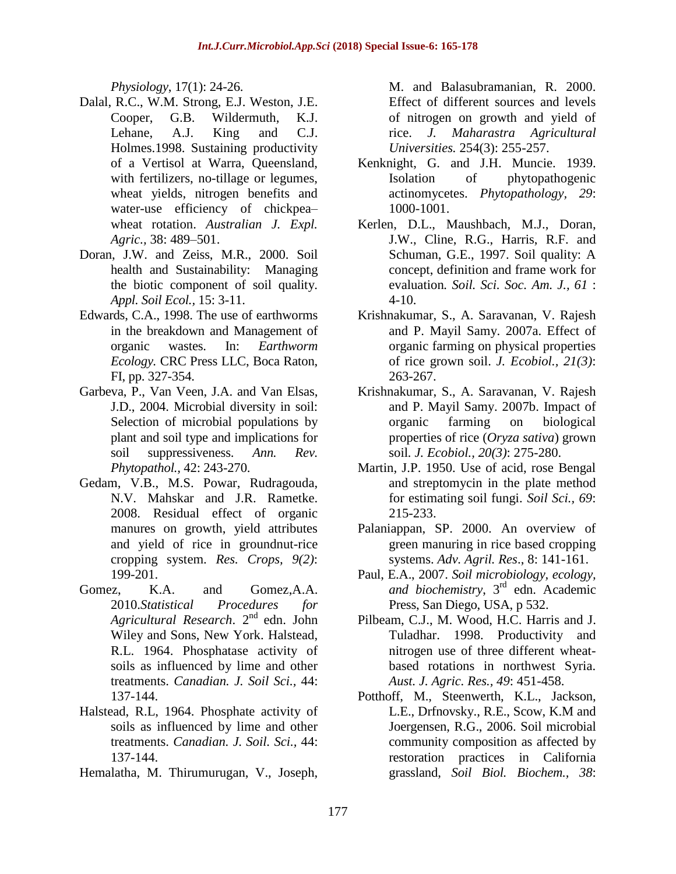*Physiology*, 17(1): 24-26.

- Dalal, R.C., W.M. Strong, E.J. Weston, J.E. Cooper, G.B. Wildermuth, K.J. Lehane, A.J. King and C.J. Holmes.1998. Sustaining productivity of a Vertisol at Warra, Queensland, with fertilizers, no-tillage or legumes, wheat yields, nitrogen benefits and water-use efficiency of chickpea– wheat rotation. *Australian J. Expl. Agric.,* 38: 489–501.
- Doran, J.W. and Zeiss, M.R., 2000. Soil health and Sustainability: Managing the biotic component of soil quality. *Appl. Soil Ecol.,* 15: 3-11.
- Edwards, C.A., 1998. The use of earthworms in the breakdown and Management of organic wastes. In: *Earthworm Ecology.* CRC Press LLC, Boca Raton, FI, pp. 327-354.
- Garbeva, P., Van Veen, J.A. and Van Elsas, J.D., 2004. Microbial diversity in soil: Selection of microbial populations by plant and soil type and implications for soil suppressiveness. *Ann. Rev. Phytopathol.,* 42: 243-270.
- Gedam, V.B., M.S. Powar, Rudragouda, N.V. Mahskar and J.R. Rametke. 2008. Residual effect of organic manures on growth, yield attributes and yield of rice in groundnut-rice cropping system. *Res. Crops, 9(2)*: 199-201.
- Gomez, K.A. and Gomez,A.A. 2010.*Statistical Procedures for*  Agricultural Research. 2<sup>nd</sup> edn. John Wiley and Sons, New York. Halstead, R.L. 1964. Phosphatase activity of soils as influenced by lime and other treatments. *Canadian. J. Soil Sci.,* 44: 137-144.
- Halstead, R.L, 1964. Phosphate activity of soils as influenced by lime and other treatments. *Canadian. J. Soil. Sci.,* 44: 137-144.
- Hemalatha, M. Thirumurugan, V., Joseph,

M. and Balasubramanian, R. 2000. Effect of different sources and levels of nitrogen on growth and yield of rice. *J. Maharastra Agricultural Universities.* 254(3): 255-257.

- Kenknight, G. and J.H. Muncie. 1939. Isolation of phytopathogenic actinomycetes. *Phytopathology, 29*: 1000-1001.
- Kerlen, D.L., Maushbach, M.J., Doran, J.W., Cline, R.G., Harris, R.F. and Schuman, G.E., 1997. Soil quality: A concept, definition and frame work for evaluation*. Soil. Sci. Soc. Am. J., 61* :  $4-10.$
- Krishnakumar, S., A. Saravanan, V. Rajesh and P. Mayil Samy. 2007a. Effect of organic farming on physical properties of rice grown soil. *J. Ecobiol., 21(3)*: 263-267.
- Krishnakumar, S., A. Saravanan, V. Rajesh and P. Mayil Samy. 2007b. Impact of organic farming on biological properties of rice (*Oryza sativa*) grown soil*. J. Ecobiol., 20(3)*: 275-280.
- Martin, J.P. 1950. Use of acid, rose Bengal and streptomycin in the plate method for estimating soil fungi. *Soil Sci., 69*: 215-233.
- Palaniappan, SP. 2000. An overview of green manuring in rice based cropping systems. *Adv. Agril. Res*., 8: 141-161.
- Paul, E.A., 2007. *Soil microbiology, ecology, and biochemistry*, 3rd edn. Academic Press, San Diego, USA, p 532.
- Pilbeam, C.J., M. Wood, H.C. Harris and J. Tuladhar. 1998. Productivity and nitrogen use of three different wheatbased rotations in northwest Syria. *Aust. J. Agric. Res., 49*: 451-458.
- Potthoff, M., Steenwerth, K.L., Jackson, L.E., Drfnovsky., R.E., Scow, K.M and Joergensen, R.G., 2006. Soil microbial community composition as affected by restoration practices in California grassland, *Soil Biol. Biochem., 38*: